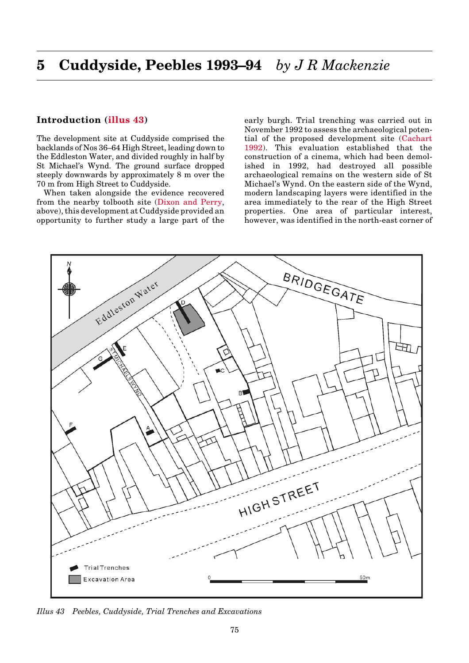# <span id="page-0-0"></span>**Introduction (illus 43)**

The development site at Cuddyside comprised the backlands of Nos 36–64 High Street, leading down to the Eddleston Water, and divided roughly in half by St Michael's Wynd. The ground surface dropped steeply downwards by approximately 8 m over the 70 m from High Street to Cuddyside.

When taken alongside the evidence recovered from the nearby tolbooth site (Dixon and Perry, above), this development at Cuddyside provided an opportunity to further study a large part of the early burgh. Trial trenching was carried out in November 1992 to assess the archaeological potential of the proposed development site (Cachart 1992). This evaluation established that the construction of a cinema, which had been demolished in 1992, had destroyed all possible archaeological remains on the western side of St Michael's Wynd. On the eastern side of the Wynd, modern landscaping layers were identified in the area immediately to the rear of the High Street properties. One area of particular interest, however, was identified in the north-east corner of



*Illus 43 Peebles, Cuddyside, Trial Trenches and Excavations*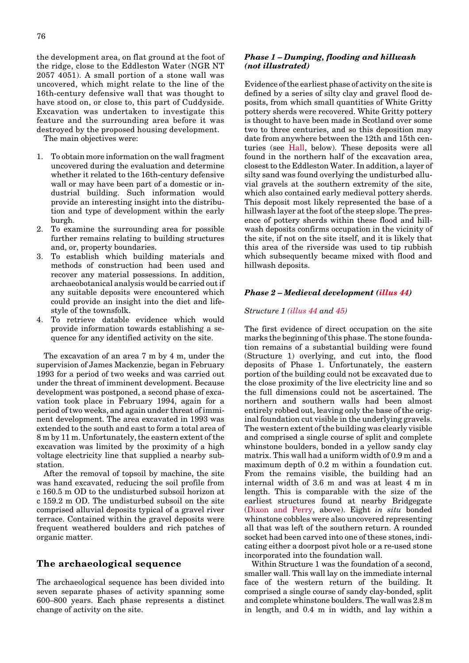the development area, on flat ground at the foot of the ridge, close to the Eddleston Water (NGR NT 2057 4051). A small portion of a stone wall was uncovered, which might relate to the line of the 16th-century defensive wall that was thought to have stood on, or close to, this part of Cuddyside. Excavation was undertaken to investigate this feature and the surrounding area before it was destroyed by the proposed housing development.

The main objectives were:

- 1. To obtain more information on the wall fragment uncovered during the evaluation and determine whether it related to the 16th-century defensive wall or may have been part of a domestic or industrial building. Such information would provide an interesting insight into the distribution and type of development within the early burgh.
- 2. To examine the surrounding area for possible further remains relating to building structures and, or, property boundaries.
- 3. To establish which building materials and methods of construction had been used and recover any material possessions. In addition, archaeobotanical analysis would be carried out if any suitable deposits were encountered which could provide an insight into the diet and lifestyle of the townsfolk.
- 4. To retrieve datable evidence which would provide information towards establishing a sequence for any identified activity on the site.

The excavation of an area 7 m by 4 m, under the supervision of James Mackenzie, began in February 1993 for a period of two weeks and was carried out under the threat of imminent development. Because development was postponed, a second phase of excavation took place in February 1994, again for a period of two weeks, and again under threat of imminent development. The area excavated in 1993 was extended to the south and east to form a total area of 8 m by 11 m. Unfortunately, the eastern extent of the excavation was limited by the proximity of a high voltage electricity line that supplied a nearby substation.

After the removal of topsoil by machine, the site was hand excavated, reducing the soil profile from c 160.5 m OD to the undisturbed subsoil horizon at c 159.2 m OD. The undisturbed subsoil on the site comprised alluvial deposits typical of a gravel river terrace. Contained within the gravel deposits were frequent weathered boulders and rich patches of organic matter.

## **The archaeological sequence**

The archaeological sequence has been divided into seven separate phases of activity spanning some 600–800 years. Each phase represents a distinct change of activity on the site.

## *Phase 1 – Dumping, flooding and hillwash (not illustrated)*

Evidence of the earliest phase of activity on the site is defined by a series of silty clay and gravel flood deposits, from which small quantities of White Gritty pottery sherds were recovered. White Gritty pottery is thought to have been made in Scotland over some two to three centuries, and so this deposition may date from anywhere between the 12th and 15th centuries (see [Hall,](#page-5-0) below). These deposits were all found in the northern half of the excavation area, closest to the Eddleston Water. In addition, a layer of silty sand was found overlying the undisturbed alluvial gravels at the southern extremity of the site, which also contained early medieval pottery sherds. This deposit most likely represented the base of a hillwash layer at the foot of the steep slope. The presence of pottery sherds within these flood and hillwash deposits confirms occupation in the vicinity of the site, if not on the site itself, and it is likely that this area of the riverside was used to tip rubbish which subsequently became mixed with flood and hillwash deposits.

### *Phase 2 – Medieval developmen[t \(illus 44\)](#page-2-0)*

#### *Structure [1 \(illus 44](#page-2-0) [and](#page-3-0) 45)*

The first evidence of direct occupation on the site marks the beginning of this phase. The stone foundation remains of a substantial building were found (Structure 1) overlying, and cut into, the flood deposits of Phase 1. Unfortunately, the eastern portion of the building could not be excavated due to the close proximity of the live electricity line and so the full dimensions could not be ascertained. The northern and southern walls had been almost entirely robbed out, leaving only the base of the original foundation cut visible in the underlying gravels. The western extent of the building was clearly visible and comprised a single course of split and complete whinstone boulders, bonded in a yellow sandy clay matrix. This wall had a uniform width of 0.9 m and a maximum depth of 0.2 m within a foundation cut. From the remains visible, the building had an internal width of 3.6 m and was at least 4 m in length. This is comparable with the size of the earliest structures found at nearby Bridgegate [\(Dixon and Perry,](#page-0-0) above). Eight *in situ* bonded whinstone cobbles were also uncovered representing all that was left of the southern return. A rounded socket had been carved into one of these stones, indicating either a doorpost pivot hole or a re-used stone incorporated into the foundation wall.

Within Structure 1 was the foundation of a second, smaller wall. This wall lay on the immediate internal face of the western return of the building. It comprised a single course of sandy clay-bonded, split and complete whinstone boulders. The wall was 2.8 m in length, and 0.4 m in width, and lay within a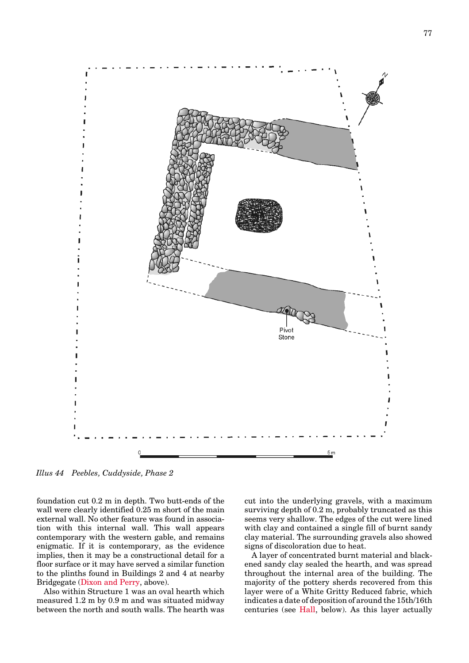<span id="page-2-0"></span>

*Illus 44 Peebles, Cuddyside, Phase 2*

foundation cut 0.2 m in depth. Two butt-ends of the wall were clearly identified 0.25 m short of the main external wall. No other feature was found in association with this internal wall. This wall appears contemporary with the western gable, and remains enigmatic. If it is contemporary, as the evidence implies, then it may be a constructional detail for a floor surface or it may have served a similar function to the plinths found in Buildings 2 and 4 at nearby Bridgegat[e \(Dixon and Perry, a](#page-0-0)bove).

Also within Structure 1 was an oval hearth which measured 1.2 m by 0.9 m and was situated midway between the north and south walls. The hearth was cut into the underlying gravels, with a maximum surviving depth of 0.2 m, probably truncated as this seems very shallow. The edges of the cut were lined with clay and contained a single fill of burnt sandy clay material. The surrounding gravels also showed signs of discoloration due to heat.

A layer of concentrated burnt material and blackened sandy clay sealed the hearth, and was spread throughout the internal area of the building. The majority of the pottery sherds recovered from this layer were of a White Gritty Reduced fabric, which indicates a date of deposition of around the 15th/16th centuries (see [Hall,](#page-5-0) below). As this layer actually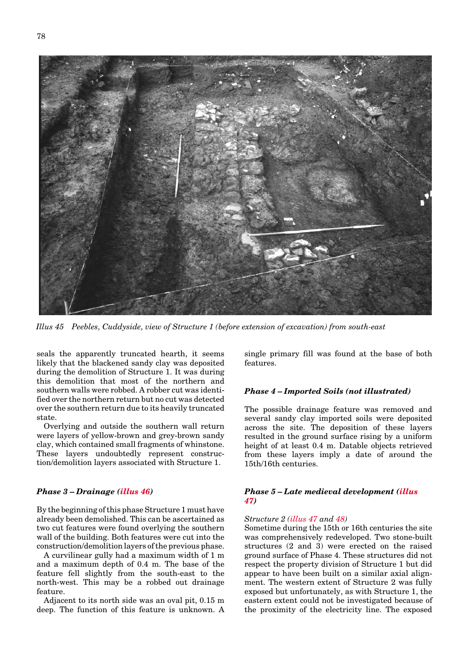<span id="page-3-0"></span>



*Illus 45 Peebles, Cuddyside, view of Structure 1 (before extension of excavation) from south-east*

seals the apparently truncated hearth, it seems likely that the blackened sandy clay was deposited during the demolition of Structure 1. It was during this demolition that most of the northern and southern walls were robbed. A robber cut was identified over the northern return but no cut was detected over the southern return due to its heavily truncated state.

Overlying and outside the southern wall return were layers of yellow-brown and grey-brown sandy clay, which contained small fragments of whinstone. These layers undoubtedly represent construction/demolition layers associated with Structure 1.

#### *Phase 3 – Drainag[e \(illus 46\)](#page-4-0)*

By the beginning of this phase Structure 1 must have already been demolished. This can be ascertained as two cut features were found overlying the southern wall of the building. Both features were cut into the construction/demolition layers of the previous phase.

A curvilinear gully had a maximum width of 1 m and a maximum depth of 0.4 m. The base of the feature fell slightly from the south-east to the north-west. This may be a robbed out drainage feature.

Adjacent to its north side was an oval pit, 0.15 m deep. The function of this feature is unknown. A

single primary fill was found at the base of both features.

### *Phase 4 – Imported Soils (not illustrated)*

The possible drainage feature was removed and several sandy clay imported soils were deposited across the site. The deposition of these layers resulted in the ground surface rising by a uniform height of at least 0.4 m. Datable objects retrieved from these layers imply a date of around the 15th/16th centuries.

### *Phase 5 – Late medieval developmen[t \(illus](#page-5-0) [47\)](#page-5-0)*

### *Structure [2 \(illus 47](#page-5-0) and [48\)](#page-6-0)*

Sometime during the 15th or 16th centuries the site was comprehensively redeveloped. Two stone-built structures (2 and 3) were erected on the raised ground surface of Phase 4. These structures did not respect the property division of Structure 1 but did appear to have been built on a similar axial alignment. The western extent of Structure 2 was fully exposed but unfortunately, as with Structure 1, the eastern extent could not be investigated because of the proximity of the electricity line. The exposed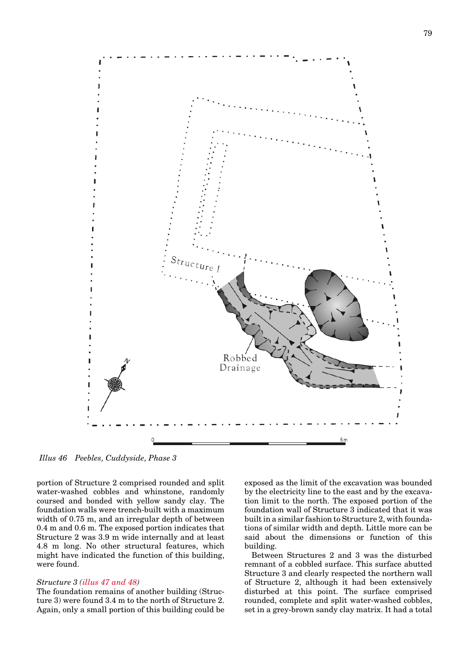<span id="page-4-0"></span>

*Illus 46 Peebles, Cuddyside, Phase 3*

portion of Structure 2 comprised rounded and split water-washed cobbles and whinstone, randomly coursed and bonded with yellow sandy clay. The foundation walls were trench-built with a maximum width of 0.75 m, and an irregular depth of between 0.4 m and 0.6 m. The exposed portion indicates that Structure 2 was 3.9 m wide internally and at least 4.8 m long. No other structural features, which might have indicated the function of this building, were found.

#### *Structure [3 \(illus 47](#page-5-0) [and 48\)](#page-6-0)*

The foundation remains of another building (Structure 3) were found 3.4 m to the north of Structure 2. Again, only a small portion of this building could be exposed as the limit of the excavation was bounded by the electricity line to the east and by the excavation limit to the north. The exposed portion of the foundation wall of Structure 3 indicated that it was built in a similar fashion to Structure 2, with foundations of similar width and depth. Little more can be said about the dimensions or function of this building.

Between Structures 2 and 3 was the disturbed remnant of a cobbled surface. This surface abutted Structure 3 and clearly respected the northern wall of Structure 2, although it had been extensively disturbed at this point. The surface comprised rounded, complete and split water-washed cobbles, set in a grey-brown sandy clay matrix. It had a total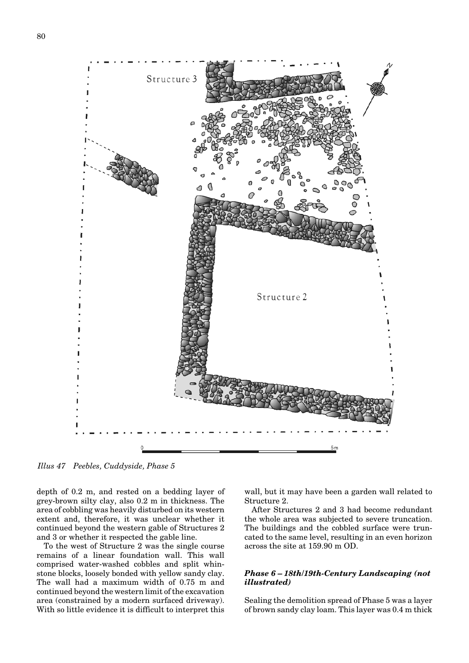<span id="page-5-0"></span>

*Illus 47 Peebles, Cuddyside, Phase 5*

depth of 0.2 m, and rested on a bedding layer of grey-brown silty clay, also 0.2 m in thickness. The area of cobbling was heavily disturbed on its western extent and, therefore, it was unclear whether it continued beyond the western gable of Structures 2 and 3 or whether it respected the gable line.

To the west of Structure 2 was the single course remains of a linear foundation wall. This wall comprised water-washed cobbles and split whinstone blocks, loosely bonded with yellow sandy clay. The wall had a maximum width of 0.75 m and continued beyond the western limit of the excavation area (constrained by a modern surfaced driveway). With so little evidence it is difficult to interpret this wall, but it may have been a garden wall related to Structure 2.

After Structures 2 and 3 had become redundant the whole area was subjected to severe truncation. The buildings and the cobbled surface were truncated to the same level, resulting in an even horizon across the site at 159.90 m OD.

## *Phase 6 – 18th/19th-Century Landscaping (not illustrated)*

Sealing the demolition spread of Phase 5 was a layer of brown sandy clay loam. This layer was 0.4 m thick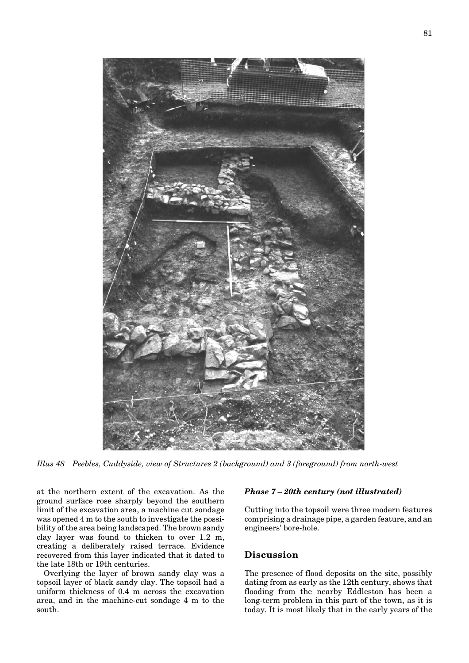<span id="page-6-0"></span>

*Illus 48 Peebles, Cuddyside, view of Structures 2 (background) and 3 (foreground) from north-west*

at the northern extent of the excavation. As the ground surface rose sharply beyond the southern limit of the excavation area, a machine cut sondage was opened 4 m to the south to investigate the possibility of the area being landscaped. The brown sandy clay layer was found to thicken to over 1.2 m, creating a deliberately raised terrace. Evidence recovered from this layer indicated that it dated to the late 18th or 19th centuries.

Overlying the layer of brown sandy clay was a topsoil layer of black sandy clay. The topsoil had a uniform thickness of 0.4 m across the excavation area, and in the machine-cut sondage 4 m to the south.

#### *Phase 7 – 20th century (not illustrated)*

Cutting into the topsoil were three modern features comprising a drainage pipe, a garden feature, and an engineers' bore-hole.

## **Discussion**

The presence of flood deposits on the site, possibly dating from as early as the 12th century, shows that flooding from the nearby Eddleston has been a long-term problem in this part of the town, as it is today. It is most likely that in the early years of the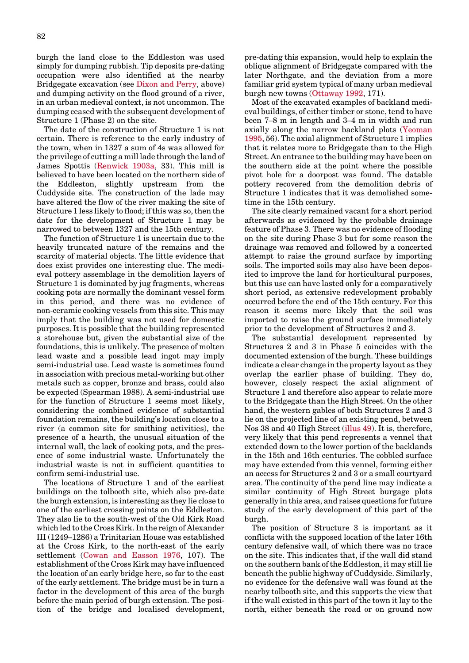burgh the land close to the Eddleston was used simply for dumping rubbish. Tip deposits pre-dating occupation were also identified at the nearby Bridgegate excavation (see [Dixon and Perry,](#page-3-0) above) and dumping activity on the flood ground of a river, in an urban medieval context, is not uncommon. The dumping ceased with the subsequent development of Structure 1 (Phase 2) on the site.

The date of the construction of Structure 1 is not certain. There is reference to the early industry of the town, when in 1327 a sum of 4s was allowed for the privilege of cutting a mill lade through the land of James Spottis [\(Renwick 1903a,](#page-2-0) 33). This mill is believed to have been located on the northern side of the Eddleston, slightly upstream from the Cuddyside site. The construction of the lade may have altered the flow of the river making the site of Structure 1 less likely to flood; if this was so, then the date for the development of Structure 1 may be narrowed to between 1327 and the 15th century.

The function of Structure 1 is uncertain due to the heavily truncated nature of the remains and the scarcity of material objects. The little evidence that does exist provides one interesting clue. The medieval pottery assemblage in the demolition layers of Structure 1 is dominated by jug fragments, whereas cooking pots are normally the dominant vessel form in this period, and there was no evidence of non-ceramic cooking vessels from this site. This may imply that the building was not used for domestic purposes. It is possible that the building represented a storehouse but, given the substantial size of the foundations, this is unlikely. The presence of molten lead waste and a possible lead ingot may imply semi-industrial use. Lead waste is sometimes found in association with precious metal-working but other metals such as copper, bronze and brass, could also be expected (Spearman 1988). A semi-industrial use for the function of Structure 1 seems most likely, considering the combined evidence of substantial foundation remains, the building's location close to a river (a common site for smithing activities), the presence of a hearth, the unusual situation of the internal wall, the lack of cooking pots, and the presence of some industrial waste. Unfortunately the industrial waste is not in sufficient quantities to confirm semi-industrial use.

The locations of Structure 1 and of the earliest buildings on the tolbooth site, which also pre-date the burgh extension, is interesting as they lie close to one of the earliest crossing points on the Eddleston. They also lie to the south-west of the Old Kirk Road which led to the Cross Kirk. In the reign of Alexander III (1249–1286) a Trinitarian House was established at the Cross Kirk, to the north-east of the early settlement [\(Cowan and Easson 1976,](#page-0-0) 107). The establishment of the Cross Kirk may have influenced the location of an early bridge here, so far to the east of the early settlement. The bridge must be in turn a factor in the development of this area of the burgh before the main period of burgh extension. The position of the bridge and localised development, pre-dating this expansion, would help to explain the oblique alignment of Bridgegate compared with the later Northgate, and the deviation from a more familiar grid system typical of many urban medieval burgh new town[s \(Ottaway 1992,](#page-2-0) 171).

Most of the excavated examples of backland medieval buildings, of either timber or stone, tend to have been 7–8 m in length and 3–4 m in width and run axially along the narrow backland plots [\(Yeoman](#page-3-0) [1995, 5](#page-3-0)6). The axial alignment of Structure 1 implies that it relates more to Bridgegate than to the High Street. An entrance to the building may have been on the southern side at the point where the possible pivot hole for a doorpost was found. The datable pottery recovered from the demolition debris of Structure 1 indicates that it was demolished sometime in the 15th century.

The site clearly remained vacant for a short period afterwards as evidenced by the probable drainage feature of Phase 3. There was no evidence of flooding on the site during Phase 3 but for some reason the drainage was removed and followed by a concerted attempt to raise the ground surface by importing soils. The imported soils may also have been deposited to improve the land for horticultural purposes, but this use can have lasted only for a comparatively short period, as extensive redevelopment probably occurred before the end of the 15th century. For this reason it seems more likely that the soil was imported to raise the ground surface immediately prior to the development of Structures 2 and 3.

The substantial development represented by Structures 2 and 3 in Phase 5 coincides with the documented extension of the burgh. These buildings indicate a clear change in the property layout as they overlap the earlier phase of building. They do, however, closely respect the axial alignment of Structure 1 and therefore also appear to relate more to the Bridgegate than the High Street. On the other hand, the western gables of both Structures 2 and 3 lie on the projected line of an existing pend, between Nos 38 and 40 High Stree[t \(illus 49\).](#page-8-0) It is, therefore, very likely that this pend represents a vennel that extended down to the lower portion of the backlands in the 15th and 16th centuries. The cobbled surface may have extended from this vennel, forming either an access for Structures 2 and 3 or a small courtyard area. The continuity of the pend line may indicate a similar continuity of High Street burgage plots generally in this area, and raises questions for future study of the early development of this part of the burgh.

The position of Structure 3 is important as it conflicts with the supposed location of the later 16th century defensive wall, of which there was no trace on the site. This indicates that, if the wall did stand on the southern bank of the Eddleston, it may still lie beneath the public highway of Cuddyside. Similarly, no evidence for the defensive wall was found at the nearby tolbooth site, and this supports the view that if the wall existed in this part of the town it lay to the north, either beneath the road or on ground now